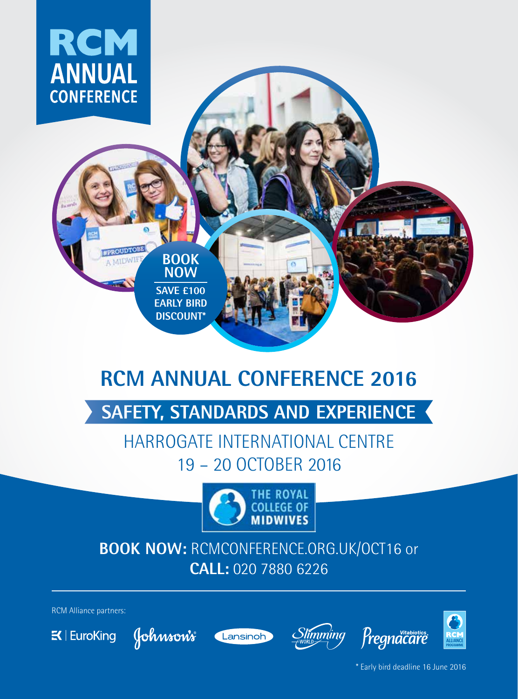

# **RCM ANNUAL CONFERENCE 2016**

# **SAFETY, STANDARDS AND EXPERIENCE**

# HARROGATE INTERNATIONAL CENTRE 19 – 20 OCTOBER 2016



# **BOOK NOW:** RCMCONFERENCE.ORG.UK/OCT16 or **CALL:** 020 7880 6226

RCM Alliance partners:











\* Early bird deadline 16 June 2016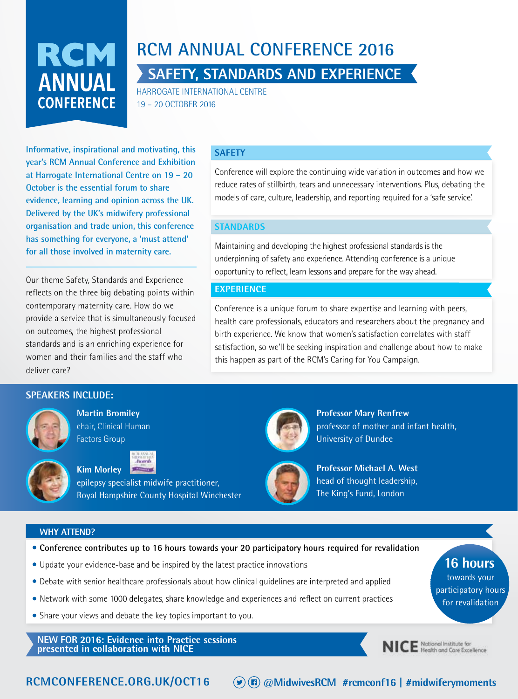

# **RCM ANNUAL CONFERENCE 2016 SAFETY, STANDARDS AND EXPERIENCE**

HARROGATE INTERNATIONAL CENTRE 19 – 20 OCTOBER 2016

**Informative, inspirational and motivating, this year's RCM Annual Conference and Exhibition at Harrogate International Centre on 19 – 20 October is the essential forum to share evidence, learning and opinion across the UK. Delivered by the UK's midwifery professional organisation and trade union, this conference has something for everyone, a 'must attend' for all those involved in maternity care.**

Our theme Safety, Standards and Experience reflects on the three big debating points within contemporary maternity care. How do we provide a service that is simultaneously focused on outcomes, the highest professional standards and is an enriching experience for women and their families and the staff who deliver care?

#### **SAFETY**

Conference will explore the continuing wide variation in outcomes and how we reduce rates of stillbirth, tears and unnecessary interventions. Plus, debating the models of care, culture, leadership, and reporting required for a 'safe service'.

#### **STANDARDS**

Maintaining and developing the highest professional standards is the underpinning of safety and experience. Attending conference is a unique opportunity to reflect, learn lessons and prepare for the way ahead.

#### **EXPERIENCE**

Conference is a unique forum to share expertise and learning with peers, health care professionals, educators and researchers about the pregnancy and birth experience. We know that women's satisfaction correlates with staff satisfaction, so we'll be seeking inspiration and challenge about how to make this happen as part of the RCM's Caring for You Campaign.

#### **SPEAKERS INCLUDE:**



**Martin Bromiley** chair, Clinical Human Factors Group



**Kim Morley**

epilepsy specialist midwife practitioner, Royal Hampshire County Hospital Winchester



**Professor Mary Renfrew** professor of mother and infant health, University of Dundee



**Professor Michael A. West**  head of thought leadership, The King's Fund, London

#### **WHY ATTEND?**



- Update your evidence-base and be inspired by the latest practice innovations
- Debate with senior healthcare professionals about how clinical guidelines are interpreted and applied
- Network with some 1000 delegates, share knowledge and experiences and reflect on current practices
- Share your views and debate the key topics important to you.

**NEW FOR 2016: Evidence into Practice sessions presented in collaboration with NICE** 



NICE National Institute for

towards your participatory hours for revalidation

**16 hours**

**RCMCONFERENCE.ORG.UK/OCT16 @MidwivesRCM #rcmconf16 | #midwiferymoments**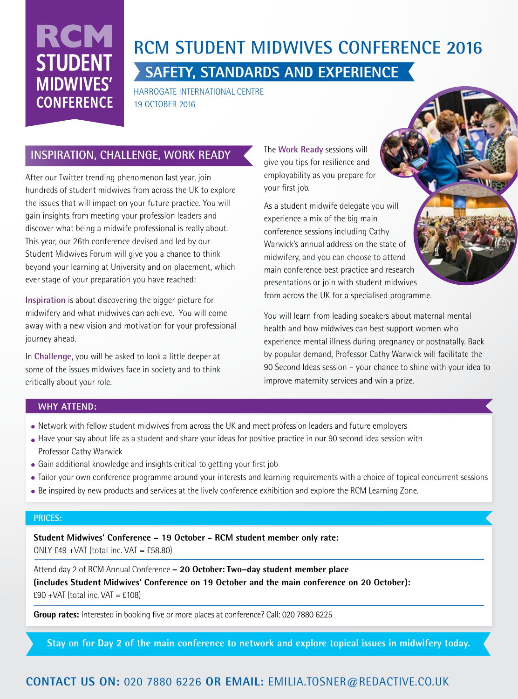# RCM **STUDENT MIDWIVES' CONFERENCE**

# **RCM STUDENT MIDWIVES CONFERENCE 2016 SAFETY, STANDARDS AND EXPERIENCE**

HARROGATE INTERNATIONAL CENTRE 19 OCTOBER 2016

### **INSPIRATION, CHALLENGE, WORK READY**

After our Twitter trending phenomenon last year, join hundreds of student midwives from across the UK to explore the issues that will impact on your future practice. You will gain insights from meeting your profession leaders and discover what being a midwife professional is really about. This year, our 26th conference devised and led by our Student Midwives Forum will give you a chance to think beyond your learning at University and on placement, which ever stage of your preparation you have reached:

**Inspiration** is about discovering the bigger picture for midwifery and what midwives can achieve. You will come away with a new vision and motivation for your professional journey ahead.

In **Challenge**, you will be asked to look a little deeper at some of the issues midwives face in society and to think critically about your role.

The **Work Ready** sessions will give you tips for resilience and employability as you prepare for your first job.

As a student midwife delegate you will experience a mix of the big main conference sessions including Cathy Warwick's annual address on the state of midwifery, and you can choose to attend main conference best practice and research presentations or join with student midwives from across the UK for a specialised programme.

You will learn from leading speakers about maternal mental health and how midwives can best support women who experience mental illness during pregnancy or postnatally. Back by popular demand, Professor Cathy Warwick will facilitate the 90 Second Ideas session – your chance to shine with your idea to improve maternity services and win a prize.

#### **WHY ATTEND:**

- Network with fellow student midwives from across the UK and meet profession leaders and future employers
- Have your say about life as a student and share your ideas for positive practice in our 90 second idea session with Professor Cathy Warwick
- Gain additional knowledge and insights critical to getting your first job
- Tailor your own conference programme around your interests and learning requirements with a choice of topical concurrent sessions
- Be inspired by new products and services at the lively conference exhibition and explore the RCM Learning Zone.

#### **PRICES:**

**Student Midwives' Conference – 19 October - RCM student member only rate:**  ONLY  $f49 + VAT$  (total inc.  $VAT = f58.80$ )

Attend day 2 of RCM Annual Conference **– 20 October: Two–day student member place (includes Student Midwives' Conference on 19 October and the main conference on 20 October):**  $£90 + VAT$  (total inc. VAT = £108)

**Group rates:** Interested in booking five or more places at conference? Call: 020 7880 6225

**Stay on for Day 2 of the main conference to network and explore topical issues in midwifery today.** 

### **@MidwivesRCM #rcmconf16 | #midwiferymoments CONTACT US ON:** 020 7880 6226 **OR EMAIL:** EMILIA.TOSNER@REDACTIVE.CO.UK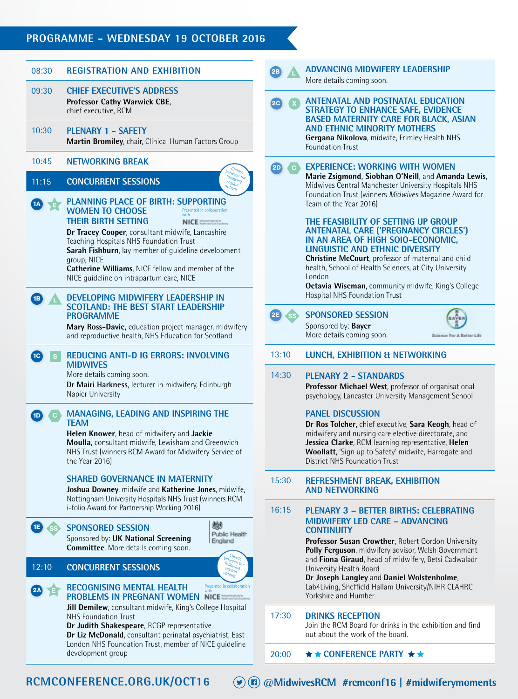### **PROGRAMME - WEDNESDAY 19 OCTOBER 2016**

| 08:30                    | <b>REGISTRATION AND EXHIBITION</b>                                                                                                                                                                                                                                                                                                                                                                                                                                                                                                                                                                                                                                                                                                                                                                                                  | 2B                 |                                                                                                                                                                                                                                                                                        | <b>ADVANCING MIDWIFERY LEADERSHIP</b><br>More details coming soon.                                                                                                                                                                                                                                                                                                                                                                                                                                                                                                  |  |  |  |
|--------------------------|-------------------------------------------------------------------------------------------------------------------------------------------------------------------------------------------------------------------------------------------------------------------------------------------------------------------------------------------------------------------------------------------------------------------------------------------------------------------------------------------------------------------------------------------------------------------------------------------------------------------------------------------------------------------------------------------------------------------------------------------------------------------------------------------------------------------------------------|--------------------|----------------------------------------------------------------------------------------------------------------------------------------------------------------------------------------------------------------------------------------------------------------------------------------|---------------------------------------------------------------------------------------------------------------------------------------------------------------------------------------------------------------------------------------------------------------------------------------------------------------------------------------------------------------------------------------------------------------------------------------------------------------------------------------------------------------------------------------------------------------------|--|--|--|
| 09:30                    | <b>CHIEF EXECUTIVE'S ADDRESS</b><br>Professor Cathy Warwick CBE,<br>chief executive, RCM                                                                                                                                                                                                                                                                                                                                                                                                                                                                                                                                                                                                                                                                                                                                            | $\left( 2C\right)$ |                                                                                                                                                                                                                                                                                        | <b>ANTENATAL AND POSTNATAL EDUCATION</b><br><b>STRATEGY TO ENHANCE SAFE, EVIDENCE</b><br><b>BASED MATERNITY CARE FOR BLACK, ASIAN</b>                                                                                                                                                                                                                                                                                                                                                                                                                               |  |  |  |
| 10:30                    | <b>PLENARY 1 - SAFETY</b><br>Martin Bromiley, chair, Clinical Human Factors Group                                                                                                                                                                                                                                                                                                                                                                                                                                                                                                                                                                                                                                                                                                                                                   |                    |                                                                                                                                                                                                                                                                                        | <b>AND ETHNIC MINORITY MOTHERS</b><br>Gergana Nikolova, midwife, Frimley Health NHS<br><b>Foundation Trust</b>                                                                                                                                                                                                                                                                                                                                                                                                                                                      |  |  |  |
| 10:45                    | <b>NETWORKING BREAK</b>                                                                                                                                                                                                                                                                                                                                                                                                                                                                                                                                                                                                                                                                                                                                                                                                             | $\overline{2D}$    | ' cl                                                                                                                                                                                                                                                                                   | <b>EXPERIENCE: WORKING WITH WOMEN</b>                                                                                                                                                                                                                                                                                                                                                                                                                                                                                                                               |  |  |  |
| 11:15                    | ween th<br>$f_{O}$ <sub>lowing</sub><br><b>CONCURRENT SESSIONS</b><br>session<br><b>PLANNING PLACE OF BIRTH: SUPPORTING</b><br><b>WOMEN TO CHOOSE</b><br>Presented in collaboration<br>with<br><b>THEIR BIRTH SETTING</b><br>NICE Instruction by<br>Dr Tracey Cooper, consultant midwife, Lancashire                                                                                                                                                                                                                                                                                                                                                                                                                                                                                                                                |                    |                                                                                                                                                                                                                                                                                        | Marie Zsigmond, Siobhan O'Neill, and Amanda Lewis,<br>Midwives Central Manchester University Hospitals NHS<br>Foundation Trust (winners Midwives Magazine Award for<br>Team of the Year 2016)<br>THE FEASIBILITY OF SETTING UP GROUP<br><b>ANTENATAL CARE ('PREGNANCY CIRCLES')</b>                                                                                                                                                                                                                                                                                 |  |  |  |
| 1B)                      | Teaching Hospitals NHS Foundation Trust<br>Sarah Fishburn, lay member of quideline development<br>group, NICE<br>Catherine Williams, NICE fellow and member of the<br>NICE quideline on intrapartum care, NICE<br>DEVELOPING MIDWIFERY LEADERSHIP IN                                                                                                                                                                                                                                                                                                                                                                                                                                                                                                                                                                                |                    |                                                                                                                                                                                                                                                                                        | IN AN AREA OF HIGH SOIO-ECONOMIC,<br><b>LINGUISTIC AND ETHNIC DIVERSITY</b><br>Christine McCourt, professor of maternal and child<br>health, School of Health Sciences, at City University<br>London<br>Octavia Wiseman, community midwife, King's College<br>Hospital NHS Foundation Trust                                                                                                                                                                                                                                                                         |  |  |  |
|                          | <b>SCOTLAND: THE BEST START LEADERSHIP</b><br><b>PROGRAMME</b><br>Mary Ross-Davie, education project manager, midwifery<br>and reproductive health, NHS Education for Scotland                                                                                                                                                                                                                                                                                                                                                                                                                                                                                                                                                                                                                                                      | 2E                 |                                                                                                                                                                                                                                                                                        | <b>SPONSORED SESSION</b><br>Sponsored by: Bayer<br>More details coming soon.<br>Science For A Better Life                                                                                                                                                                                                                                                                                                                                                                                                                                                           |  |  |  |
| 1C  <br>S.               | <b>REDUCING ANTI-D IG ERRORS: INVOLVING</b><br><b>MIDWIVES</b><br>More details coming soon.<br>Dr Mairi Harkness, lecturer in midwifery, Edinburgh<br>Napier University                                                                                                                                                                                                                                                                                                                                                                                                                                                                                                                                                                                                                                                             | 13:10              |                                                                                                                                                                                                                                                                                        | LUNCH, EXHIBITION & NETWORKING                                                                                                                                                                                                                                                                                                                                                                                                                                                                                                                                      |  |  |  |
|                          |                                                                                                                                                                                                                                                                                                                                                                                                                                                                                                                                                                                                                                                                                                                                                                                                                                     |                    | 14:30                                                                                                                                                                                                                                                                                  | <b>PLENARY 2 - STANDARDS</b><br>Professor Michael West, professor of organisational<br>psychology, Lancaster University Management School                                                                                                                                                                                                                                                                                                                                                                                                                           |  |  |  |
| 1D<br>$\mathbf{C}$       | <b>MANAGING, LEADING AND INSPIRING THE</b><br><b>TEAM</b><br>Helen Knower, head of midwifery and Jackie<br>Moulla, consultant midwife, Lewisham and Greenwich<br>NHS Trust (winners RCM Award for Midwifery Service of<br>the Year 2016)                                                                                                                                                                                                                                                                                                                                                                                                                                                                                                                                                                                            |                    | <b>PANEL DISCUSSION</b><br>Dr Ros Tolcher, chief executive, Sara Keogh, head of<br>midwifery and nursing care elective directorate, and<br>Jessica Clarke, RCM learning representative, Helen<br>Woollatt, 'Sign up to Safety' midwife, Harrogate and<br>District NHS Foundation Trust |                                                                                                                                                                                                                                                                                                                                                                                                                                                                                                                                                                     |  |  |  |
| 1E)<br>12:10<br>2A<br>E. | <b>SHARED GOVERNANCE IN MATERNITY</b><br>Joshua Downey, midwife and Katherine Jones, midwife,<br>Nottingham University Hospitals NHS Trust (winners RCM<br>i-folio Award for Partnership Working 2016)<br>鬱<br><b>SPONSORED SESSION</b><br>Public Health<br>Sponsored by: UK National Screening<br>England<br><b>Committee.</b> More details coming soon.<br>setween the<br>following<br><b>CONCURRENT SESSIONS</b><br>session<br>options<br>Presented in collaboration<br><b>RECOGNISING MENTAL HEALTH</b><br>with<br>PROBLEMS IN PREGNANT WOMEN NICE<br>Jill Demilew, consultant midwife, King's College Hospital<br>NHS Foundation Trust<br>Dr Judith Shakespeare, RCGP representative<br>Dr Liz McDonald, consultant perinatal psychiatrist, East<br>London NHS Foundation Trust, member of NICE guideline<br>development group | 15:30              |                                                                                                                                                                                                                                                                                        | <b>REFRESHMENT BREAK, EXHIBITION</b><br><b>AND NETWORKING</b>                                                                                                                                                                                                                                                                                                                                                                                                                                                                                                       |  |  |  |
|                          |                                                                                                                                                                                                                                                                                                                                                                                                                                                                                                                                                                                                                                                                                                                                                                                                                                     | 16:15              |                                                                                                                                                                                                                                                                                        | <b>PLENARY 3 - BETTER BIRTHS: CELEBRATING</b><br><b>MIDWIFERY LED CARE - ADVANCING</b><br><b>CONTINUITY</b><br>Professor Susan Crowther, Robert Gordon University<br>Polly Ferguson, midwifery advisor, Welsh Government<br>and Fiona Giraud, head of midwifery, Betsi Cadwaladr<br>University Health Board<br>Dr Joseph Langley and Daniel Wolstenholme,<br>Lab4Living, Sheffield Hallam University/NIHR CLAHRC<br>Yorkshire and Humber<br><b>DRINKS RECEPTION</b><br>Join the RCM Board for drinks in the exhibition and find<br>out about the work of the board. |  |  |  |
|                          |                                                                                                                                                                                                                                                                                                                                                                                                                                                                                                                                                                                                                                                                                                                                                                                                                                     | 17:30              |                                                                                                                                                                                                                                                                                        |                                                                                                                                                                                                                                                                                                                                                                                                                                                                                                                                                                     |  |  |  |
|                          |                                                                                                                                                                                                                                                                                                                                                                                                                                                                                                                                                                                                                                                                                                                                                                                                                                     | 20:00              |                                                                                                                                                                                                                                                                                        | $\star \star$ CONFERENCE PARTY $\star \star$                                                                                                                                                                                                                                                                                                                                                                                                                                                                                                                        |  |  |  |
|                          |                                                                                                                                                                                                                                                                                                                                                                                                                                                                                                                                                                                                                                                                                                                                                                                                                                     |                    |                                                                                                                                                                                                                                                                                        |                                                                                                                                                                                                                                                                                                                                                                                                                                                                                                                                                                     |  |  |  |

**RCMCONFERENCE.ORG.UK/OCT16** 

**@MidwivesRCM #rcmconf16 | #midwiferymoments**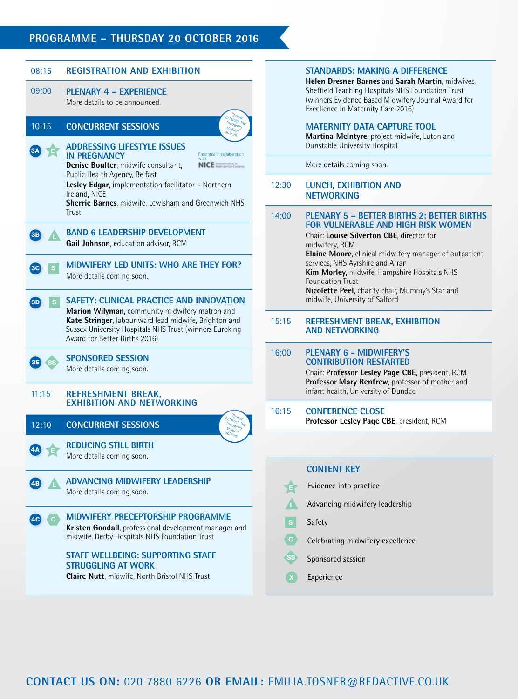#### **PROGRAMME – THURSDAY 20 OCTOBER 2016**



#### **STANDARDS: MAKING A DIFFERENCE**

**Helen Dresner Barnes** and **Sarah Martin**, midwives, Sheffield Teaching Hospitals NHS Foundation Trust (winners Evidence Based Midwifery Journal Award for Excellence in Maternity Care 2016)

#### **MATERNITY DATA CAPTURE TOOL**

**Martina McIntyre**, project midwife, Luton and Dunstable University Hospital

More details coming soon.

#### 12:30 **LUNCH, EXHIBITION AND NETWORKING**

#### 14:00 **PLENARY 5 – BETTER BIRTHS 2: BETTER BIRTHS FOR VULNERABLE AND HIGH RISK WOMEN** Chair: **Louise Silverton CBE**, director for midwifery, RCM

**Elaine Moore**, clinical midwifery manager of outpatient services, NHS Ayrshire and Arran **Kim Morley**, midwife, Hampshire Hospitals NHS Foundation Trust **Nicolette Peel**, charity chair, Mummy's Star and midwife, University of Salford

#### 15:15 **REFRESHMENT BREAK, EXHIBITION AND NETWORKING**

#### 16:00 **PLENARY 6 - MIDWIFERY'S CONTRIBUTION RESTARTED**

Chair: **Professor Lesley Page CBE**, president, RCM **Professor Mary Renfrew**, professor of mother and infant health, University of Dundee

#### 16:15 **CONFERENCE CLOSE**

**Professor Lesley Page CBE**, president, RCM

#### **CONTENT KEY**

- Evidence into practice Advancing midwifery leadership Safety Celebrating midwifery excellence Sponsored session E C SS L
	- Experience X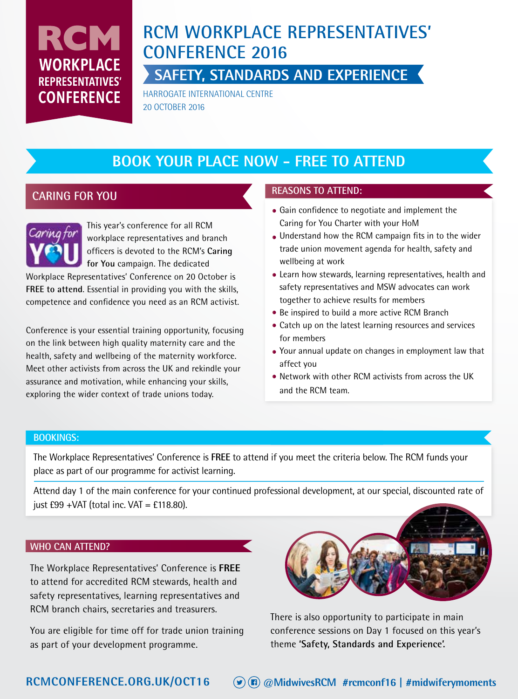# RCM **WORKPLACE REPRESENTATIVES' CONFERENCE**

# **RCM WORKPLACE REPRESENTATIVES' CONFERENCE 2016**

**SAFETY, STANDARDS AND EXPERIENCE** 

HARROGATE INTERNATIONAL CENTRE 20 OCTOBER 2016

# **BOOK YOUR PLACE NOW - FREE TO ATTEND**

### **CARING FOR YOU**



Workplace Representatives' Conference on 20 October is **FREE to attend**. Essential in providing you with the skills, competence and confidence you need as an RCM activist.

Conference is your essential training opportunity, focusing on the link between high quality maternity care and the health, safety and wellbeing of the maternity workforce. Meet other activists from across the UK and rekindle your assurance and motivation, while enhancing your skills, exploring the wider context of trade unions today.

### **REASONS TO ATTEND:**

- Gain confidence to negotiate and implement the Caring for You Charter with your HoM
- Understand how the RCM campaign fits in to the wider trade union movement agenda for health, safety and wellbeing at work
- Learn how stewards, learning representatives, health and safety representatives and MSW advocates can work together to achieve results for members
- Be inspired to build a more active RCM Branch
- Catch up on the latest learning resources and services for members
- Your annual update on changes in employment law that affect you
- Network with other RCM activists from across the UK and the RCM team.

#### **BOOKINGS:**

The Workplace Representatives' Conference is **FREE** to attend if you meet the criteria below. The RCM funds your place as part of our programme for activist learning.

Attend day 1 of the main conference for your continued professional development, at our special, discounted rate of just  $£99 + VAT$  (total inc.  $VAT = £118.80$ ).

#### **WHO CAN ATTEND?**

The Workplace Representatives' Conference is **FREE** to attend for accredited RCM stewards, health and safety representatives, learning representatives and RCM branch chairs, secretaries and treasurers.

You are eligible for time off for trade union training as part of your development programme.



There is also opportunity to participate in main conference sessions on Day 1 focused on this year's theme **'Safety, Standards and Experience'.**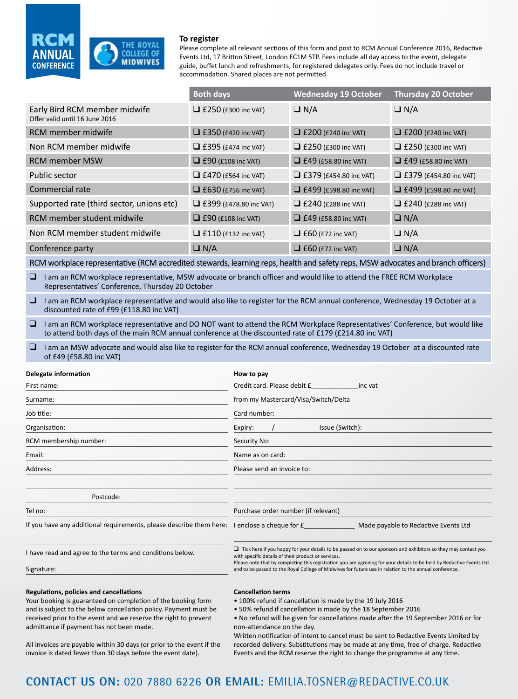

#### **To register**

Please complete all relevant sections of this form and post to RCM Annual Conference 2016, Redactive Events Ltd, 17 Britton Street, London EC1M 5TP. Fees include all day access to the event, delegate guide, buffet lunch and refreshments, for registered delegates only. Fees do not include travel or accommodation. Shared places are not permitted.

|                                                                                                                                                                                                                                        | <b>Both days</b>                                                                                                                                                                                                                                                                                                                                                                                                |                                      | <b>Wednesday 19 October</b>   |                                                          | <b>Thursday 20 October</b>    |  |  |  |  |
|----------------------------------------------------------------------------------------------------------------------------------------------------------------------------------------------------------------------------------------|-----------------------------------------------------------------------------------------------------------------------------------------------------------------------------------------------------------------------------------------------------------------------------------------------------------------------------------------------------------------------------------------------------------------|--------------------------------------|-------------------------------|----------------------------------------------------------|-------------------------------|--|--|--|--|
| Early Bird RCM member midwife<br>Offer valid until 16 June 2016                                                                                                                                                                        | $\Box$ £250 (£300 inc VAT)                                                                                                                                                                                                                                                                                                                                                                                      |                                      | $\Box N/A$                    |                                                          | $\Box N/A$                    |  |  |  |  |
| <b>RCM</b> member midwife                                                                                                                                                                                                              |                                                                                                                                                                                                                                                                                                                                                                                                                 | $\Box$ £350 (£420 inc VAT)           | $\Box$ £200 (£240 inc VAT)    |                                                          | $\Box$ £200 (£240 inc VAT)    |  |  |  |  |
| Non RCM member midwife                                                                                                                                                                                                                 |                                                                                                                                                                                                                                                                                                                                                                                                                 | $\Box$ £395 (£474 inc VAT)           |                               | $\Box$ £250 (£300 inc VAT)<br>$\Box$ £250 (£300 inc VAT) |                               |  |  |  |  |
| <b>RCM member MSW</b>                                                                                                                                                                                                                  | $\Box$ £90 (£108 inc VAT)                                                                                                                                                                                                                                                                                                                                                                                       |                                      | $\Box$ £49 (£58.80 inc VAT)   |                                                          | $\Box$ £49 (£58.80 inc VAT)   |  |  |  |  |
| Public sector                                                                                                                                                                                                                          | $\Box$ £470 (£564 inc VAT)                                                                                                                                                                                                                                                                                                                                                                                      |                                      | $\Box$ £379 (£454.80 inc VAT) |                                                          | $\Box$ £379 (£454.80 inc VAT) |  |  |  |  |
| Commercial rate                                                                                                                                                                                                                        | $\Box$ £630 (£756 inc VAT)                                                                                                                                                                                                                                                                                                                                                                                      |                                      | $\Box$ £499 (£598.80 inc VAT) |                                                          | $\Box$ £499 (£598.80 inc VAT) |  |  |  |  |
| Supported rate (third sector, unions etc)                                                                                                                                                                                              | $\Box$ £399 (£478.80 inc VAT)                                                                                                                                                                                                                                                                                                                                                                                   |                                      | $\Box$ £240 (£288 inc VAT)    |                                                          | $\Box$ £240 (£288 inc VAT)    |  |  |  |  |
| RCM member student midwife                                                                                                                                                                                                             | $\Box$ £90 (£108 inc VAT)                                                                                                                                                                                                                                                                                                                                                                                       |                                      | $\Box$ £49 (£58.80 inc VAT)   |                                                          | $\Box N/A$                    |  |  |  |  |
| Non RCM member student midwife                                                                                                                                                                                                         | $\Box$ £110 (£132 inc VAT)                                                                                                                                                                                                                                                                                                                                                                                      |                                      | $\Box$ £60 (£72 inc VAT)      |                                                          | $\Box$ N/A                    |  |  |  |  |
| Conference party                                                                                                                                                                                                                       | $\Box N/A$                                                                                                                                                                                                                                                                                                                                                                                                      |                                      | $\Box$ £60 (£72 inc VAT)      |                                                          | $\Box N/A$                    |  |  |  |  |
| RCM workplace representative (RCM accredited stewards, learning reps, health and safety reps, MSW advocates and branch officers)                                                                                                       |                                                                                                                                                                                                                                                                                                                                                                                                                 |                                      |                               |                                                          |                               |  |  |  |  |
| I am an RCM workplace representative, MSW advocate or branch officer and would like to attend the FREE RCM Workplace<br>⊔<br>Representatives' Conference, Thursday 20 October                                                          |                                                                                                                                                                                                                                                                                                                                                                                                                 |                                      |                               |                                                          |                               |  |  |  |  |
| I am an RCM workplace representative and would also like to register for the RCM annual conference, Wednesday 19 October at a<br>discounted rate of £99 (£118.80 inc VAT)                                                              |                                                                                                                                                                                                                                                                                                                                                                                                                 |                                      |                               |                                                          |                               |  |  |  |  |
| I am an RCM workplace representative and DO NOT want to attend the RCM Workplace Representatives' Conference, but would like<br>to attend both days of the main RCM annual conference at the discounted rate of £179 (£214.80 inc VAT) |                                                                                                                                                                                                                                                                                                                                                                                                                 |                                      |                               |                                                          |                               |  |  |  |  |
| $\Box$<br>of £49 (£58.80 inc VAT)                                                                                                                                                                                                      | I am an MSW advocate and would also like to register for the RCM annual conference, Wednesday 19 October at a discounted rate                                                                                                                                                                                                                                                                                   |                                      |                               |                                                          |                               |  |  |  |  |
| Delegate information                                                                                                                                                                                                                   | How to pay                                                                                                                                                                                                                                                                                                                                                                                                      |                                      |                               |                                                          |                               |  |  |  |  |
| First name:                                                                                                                                                                                                                            |                                                                                                                                                                                                                                                                                                                                                                                                                 | Credit card. Please debit £ inc vat  |                               |                                                          |                               |  |  |  |  |
| Surname:                                                                                                                                                                                                                               |                                                                                                                                                                                                                                                                                                                                                                                                                 | from my Mastercard/Visa/Switch/Delta |                               |                                                          |                               |  |  |  |  |
| Job title:                                                                                                                                                                                                                             |                                                                                                                                                                                                                                                                                                                                                                                                                 | Card number:                         |                               |                                                          |                               |  |  |  |  |
| Organisation:                                                                                                                                                                                                                          | Expiry:<br>Issue (Switch):                                                                                                                                                                                                                                                                                                                                                                                      |                                      |                               |                                                          |                               |  |  |  |  |
| RCM membership number:                                                                                                                                                                                                                 | Security No:                                                                                                                                                                                                                                                                                                                                                                                                    |                                      |                               |                                                          |                               |  |  |  |  |
| Email:                                                                                                                                                                                                                                 | Name as on card:                                                                                                                                                                                                                                                                                                                                                                                                |                                      |                               |                                                          |                               |  |  |  |  |
| Address:                                                                                                                                                                                                                               | Please send an invoice to:                                                                                                                                                                                                                                                                                                                                                                                      |                                      |                               |                                                          |                               |  |  |  |  |
|                                                                                                                                                                                                                                        |                                                                                                                                                                                                                                                                                                                                                                                                                 |                                      |                               |                                                          |                               |  |  |  |  |
| Postcode:                                                                                                                                                                                                                              |                                                                                                                                                                                                                                                                                                                                                                                                                 |                                      |                               |                                                          |                               |  |  |  |  |
| Tel no:                                                                                                                                                                                                                                | Purchase order number (if relevant)                                                                                                                                                                                                                                                                                                                                                                             |                                      |                               |                                                          |                               |  |  |  |  |
| If you have any additional requirements, please describe them here: I enclose a cheque for £                                                                                                                                           |                                                                                                                                                                                                                                                                                                                                                                                                                 |                                      |                               | Made payable to Redactive Events Ltd                     |                               |  |  |  |  |
| I have read and agree to the terms and conditions below.                                                                                                                                                                               | $\Box$ Tick here if you happy for your details to be passed on to our sponsors and exhibitors so they may contact you<br>with specific details of their product or services.<br>Please note that by completing this registration you are agreeing for your details to be held by Redactive Events Ltd<br>and to be passed to the Royal College of Midwives for future use in relation to the annual conference. |                                      |                               |                                                          |                               |  |  |  |  |
| Signature:                                                                                                                                                                                                                             |                                                                                                                                                                                                                                                                                                                                                                                                                 |                                      |                               |                                                          |                               |  |  |  |  |
| Regulations, policies and cancellations                                                                                                                                                                                                | <b>Cancellation terms</b>                                                                                                                                                                                                                                                                                                                                                                                       |                                      |                               |                                                          |                               |  |  |  |  |

Your booking is guaranteed on completion of the booking form and is subject to the below cancellation policy. Payment must be received prior to the event and we reserve the right to prevent admittance if payment has not been made.

#### **Cancellation terms**

- 100% refund if cancellation is made by the 19 July 2016
- 50% refund if cancellation is made by the 18 September 2016

• No refund will be given for cancellations made after the 19 September 2016 or for non-attendance on the day.

All invoices are payable within 30 days (or prior to the event if the invoice is dated fewer than 30 days before the event date).

Written notification of intent to cancel must be sent to Redactive Events Limited by recorded delivery. Substitutions may be made at any time, free of charge. Redactive Events and the RCM reserve the right to change the programme at any time.

### **@MidwivesRCM #rcmconf16 | #midwiferymoments CONTACT US ON:** 020 7880 6226 **OR EMAIL:** EMILIA.TOSNER@REDACTIVE.CO.UK